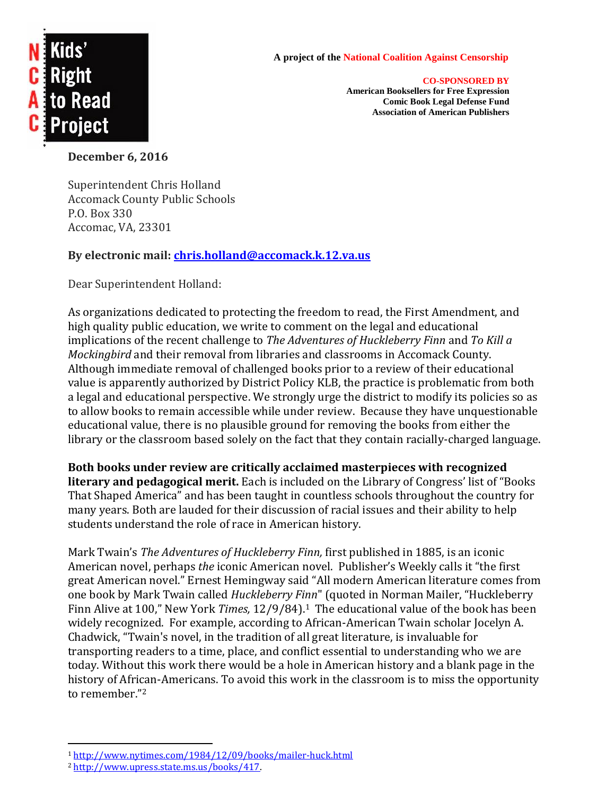

## **A project of the National Coalition Against Censorship**

**CO-SPONSORED BY American Booksellers for Free Expression Comic Book Legal Defense Fund Association of American Publishers**

**December 6, 2016**

Superintendent Chris Holland Accomack County Public Schools P.O. Box 330 Accomac, VA, 23301

## **By electronic mail: [chris.holland@accomack.k.12.va.us](mailto:chris.holland@accomack.k.12.va.us)**

Dear Superintendent Holland:

As organizations dedicated to protecting the freedom to read, the First Amendment, and high quality public education, we write to comment on the legal and educational implications of the recent challenge to *The Adventures of Huckleberry Finn* and *To Kill a Mockingbird* and their removal from libraries and classrooms in Accomack County. Although immediate removal of challenged books prior to a review of their educational value is apparently authorized by District Policy KLB, the practice is problematic from both a legal and educational perspective. We strongly urge the district to modify its policies so as to allow books to remain accessible while under review. Because they have unquestionable educational value, there is no plausible ground for removing the books from either the library or the classroom based solely on the fact that they contain racially-charged language.

**Both books under review are critically acclaimed masterpieces with recognized literary and pedagogical merit.** Each is included on the Library of Congress' list of "Books That Shaped America" and has been taught in countless schools throughout the country for many years. Both are lauded for their discussion of racial issues and their ability to help students understand the role of race in American history.

Mark Twain's *The Adventures of Huckleberry Finn,* first published in 1885, is an iconic American novel, perhaps *the* iconic American novel. Publisher's Weekly calls it "the first great American novel." Ernest Hemingway said "All modern American literature comes from one book by Mark Twain called *Huckleberry Finn*" (quoted in Norman Mailer, "Huckleberry Finn Alive at 100," New York *Times,* 12/9/84).1 The educational value of the book has been widely recognized. For example, according to African-American Twain scholar Jocelyn A. Chadwick, "Twain's novel, in the tradition of all great literature, is invaluable for transporting readers to a time, place, and conflict essential to understanding who we are today. Without this work there would be a hole in American history and a blank page in the history of African-Americans. To avoid this work in the classroom is to miss the opportunity to remember."<sup>2</sup>

 $\overline{a}$ 

<sup>1</sup> <http://www.nytimes.com/1984/12/09/books/mailer-huck.html>

<sup>2</sup> [http://www.upress.state.ms.us/books/417.](http://www.upress.state.ms.us/books/417)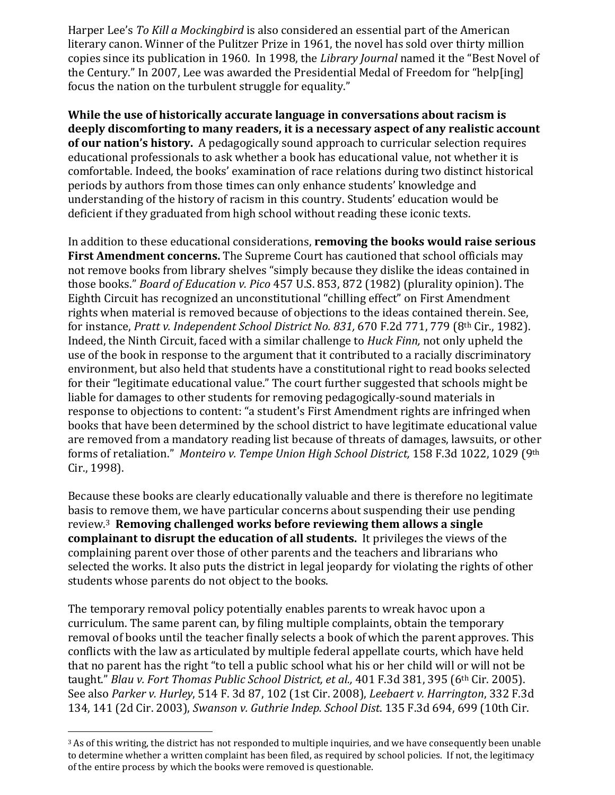Harper Lee's *To Kill a Mockingbird* is also considered an essential part of the American literary canon. Winner of the Pulitzer Prize in 1961, the novel has sold over thirty million copies since its publication in 1960. In 1998, the *Library Journal* named it the "Best Novel of the Century." In 2007, Lee was awarded the Presidential Medal of Freedom for "help[ing] focus the nation on the turbulent struggle for equality."

**While the use of historically accurate language in conversations about racism is deeply discomforting to many readers, it is a necessary aspect of any realistic account of our nation's history.** A pedagogically sound approach to curricular selection requires educational professionals to ask whether a book has educational value, not whether it is comfortable. Indeed, the books' examination of race relations during two distinct historical periods by authors from those times can only enhance students' knowledge and understanding of the history of racism in this country. Students' education would be deficient if they graduated from high school without reading these iconic texts.

In addition to these educational considerations, **removing the books would raise serious First Amendment concerns.** The Supreme Court has cautioned that school officials may not remove books from library shelves "simply because they dislike the ideas contained in those books." *Board of Education v. Pico* 457 U.S. 853, 872 (1982) (plurality opinion). The Eighth Circuit has recognized an unconstitutional "chilling effect" on First Amendment rights when material is removed because of objections to the ideas contained therein. See, for instance, *Pratt v. Independent School District No. 831,* 670 F.2d 771, 779 (8th Cir., 1982). Indeed, the Ninth Circuit, faced with a similar challenge to *Huck Finn,* not only upheld the use of the book in response to the argument that it contributed to a racially discriminatory environment, but also held that students have a constitutional right to read books selected for their "legitimate educational value." The court further suggested that schools might be liable for damages to other students for removing pedagogically-sound materials in response to objections to content: "a student's First Amendment rights are infringed when books that have been determined by the school district to have legitimate educational value are removed from a mandatory reading list because of threats of damages, lawsuits, or other forms of retaliation." *Monteiro v. Tempe Union High School District,* 158 F.3d 1022, 1029 (9th Cir., 1998).

Because these books are clearly educationally valuable and there is therefore no legitimate basis to remove them, we have particular concerns about suspending their use pending review.<sup>3</sup> **Removing challenged works before reviewing them allows a single complainant to disrupt the education of all students.** It privileges the views of the complaining parent over those of other parents and the teachers and librarians who selected the works. It also puts the district in legal jeopardy for violating the rights of other students whose parents do not object to the books.

The temporary removal policy potentially enables parents to wreak havoc upon a curriculum. The same parent can, by filing multiple complaints, obtain the temporary removal of books until the teacher finally selects a book of which the parent approves. This conflicts with the law as articulated by multiple federal appellate courts, which have held that no parent has the right "to tell a public school what his or her child will or will not be taught." *Blau v. Fort Thomas Public School District, et al.,* 401 F.3d 381, 395 (6th Cir. 2005). See also *Parker v. Hurley*, 514 F. 3d 87, 102 (1st Cir. 2008), *Leebaert v. Harrington*, 332 F.3d 134, 141 (2d Cir. 2003), *Swanson v. Guthrie Indep. School Dist*. 135 F.3d 694, 699 (10th Cir.

 $\overline{a}$ 

<sup>&</sup>lt;sup>3</sup> As of this writing, the district has not responded to multiple inquiries, and we have consequently been unable to determine whether a written complaint has been filed, as required by school policies. If not, the legitimacy of the entire process by which the books were removed is questionable.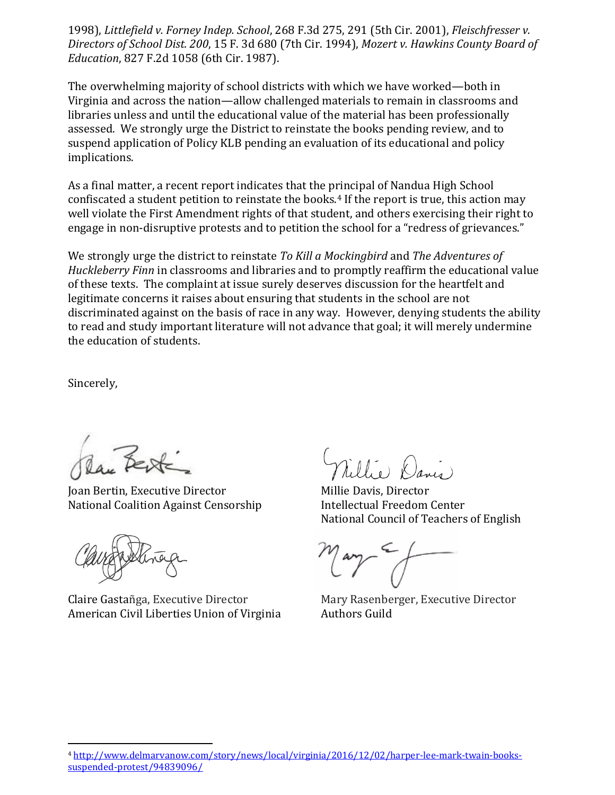1998), *Littlefield v. Forney Indep. School*, 268 F.3d 275, 291 (5th Cir. 2001), *Fleischfresser v. Directors of School Dist. 200*, 15 F. 3d 680 (7th Cir. 1994), *Mozert v. Hawkins County Board of Education*, 827 F.2d 1058 (6th Cir. 1987).

The overwhelming majority of school districts with which we have worked—both in Virginia and across the nation—allow challenged materials to remain in classrooms and libraries unless and until the educational value of the material has been professionally assessed. We strongly urge the District to reinstate the books pending review, and to suspend application of Policy KLB pending an evaluation of its educational and policy implications.

As a final matter, a recent report indicates that the principal of Nandua High School confiscated a student petition to reinstate the books.<sup>4</sup> If the report is true, this action may well violate the First Amendment rights of that student, and others exercising their right to engage in non-disruptive protests and to petition the school for a "redress of grievances."

We strongly urge the district to reinstate *To Kill a Mockingbird* and *The Adventures of Huckleberry Finn* in classrooms and libraries and to promptly reaffirm the educational value of these texts. The complaint at issue surely deserves discussion for the heartfelt and legitimate concerns it raises about ensuring that students in the school are not discriminated against on the basis of race in any way. However, denying students the ability to read and study important literature will not advance that goal; it will merely undermine the education of students.

Sincerely,

 $\overline{a}$ 

Joan Bertin, Executive Director Millie Davis, Director National Coalition Against Censorship **Intellectual Freedom Center** 

Claire Gastañga, Executive Director Mary Rasenberger, Executive Director American Civil Liberties Union of Virginia Authors Guild

National Council of Teachers of English

<sup>4</sup> [http://www.delmarvanow.com/story/news/local/virginia/2016/12/02/harper-lee-mark-twain-books](http://www.delmarvanow.com/story/news/local/virginia/2016/12/02/harper-lee-mark-twain-books-suspended-protest/94839096/)[suspended-protest/94839096/](http://www.delmarvanow.com/story/news/local/virginia/2016/12/02/harper-lee-mark-twain-books-suspended-protest/94839096/)